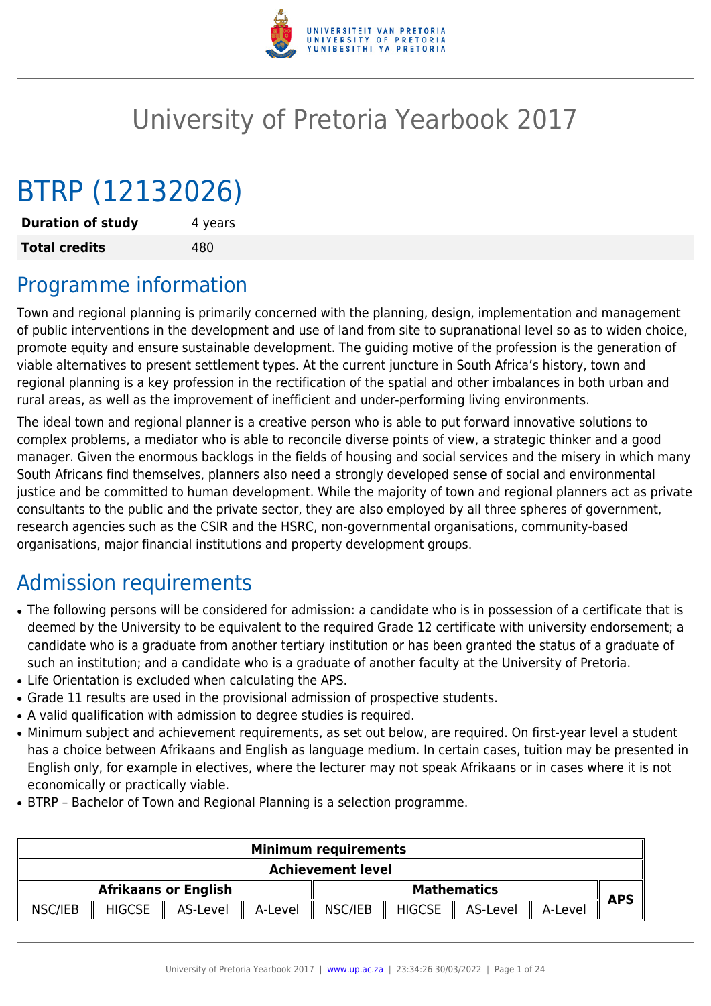

# University of Pretoria Yearbook 2017

# BTRP (12132026)

**Duration of study** 4 years **Total credits** 480

## Programme information

Town and regional planning is primarily concerned with the planning, design, implementation and management of public interventions in the development and use of land from site to supranational level so as to widen choice, promote equity and ensure sustainable development. The guiding motive of the profession is the generation of viable alternatives to present settlement types. At the current juncture in South Africa's history, town and regional planning is a key profession in the rectification of the spatial and other imbalances in both urban and rural areas, as well as the improvement of inefficient and under-performing living environments.

The ideal town and regional planner is a creative person who is able to put forward innovative solutions to complex problems, a mediator who is able to reconcile diverse points of view, a strategic thinker and a good manager. Given the enormous backlogs in the fields of housing and social services and the misery in which many South Africans find themselves, planners also need a strongly developed sense of social and environmental justice and be committed to human development. While the majority of town and regional planners act as private consultants to the public and the private sector, they are also employed by all three spheres of government, research agencies such as the CSIR and the HSRC, non-governmental organisations, community-based organisations, major financial institutions and property development groups.

## Admission requirements

- The following persons will be considered for admission: a candidate who is in possession of a certificate that is deemed by the University to be equivalent to the required Grade 12 certificate with university endorsement; a candidate who is a graduate from another tertiary institution or has been granted the status of a graduate of such an institution; and a candidate who is a graduate of another faculty at the University of Pretoria.
- Life Orientation is excluded when calculating the APS.
- Grade 11 results are used in the provisional admission of prospective students.
- A valid qualification with admission to degree studies is required.
- Minimum subject and achievement requirements, as set out below, are required. On first-year level a student has a choice between Afrikaans and English as language medium. In certain cases, tuition may be presented in English only, for example in electives, where the lecturer may not speak Afrikaans or in cases where it is not economically or practically viable.
- BTRP Bachelor of Town and Regional Planning is a selection programme.

| <b>Minimum requirements</b> |         |                    |               |              |                             |          |               |         |
|-----------------------------|---------|--------------------|---------------|--------------|-----------------------------|----------|---------------|---------|
| <b>Achievement level</b>    |         |                    |               |              |                             |          |               |         |
| <b>APS</b>                  |         | <b>Mathematics</b> |               |              | <b>Afrikaans or English</b> |          |               |         |
|                             | A-Level | AS-Level           | <b>HIGCSE</b> | NSC/IEB<br>Ш | A-Level                     | AS-Level | <b>HIGCSE</b> | NSC/IEB |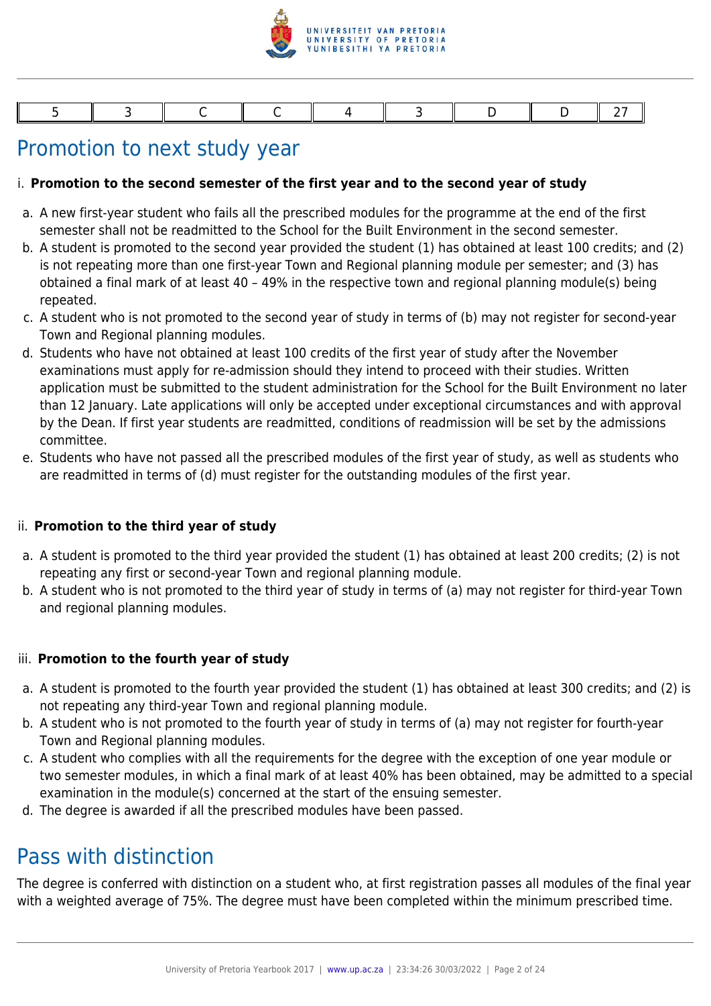

## Promotion to next study year

#### i. **Promotion to the second semester of the first year and to the second year of study**

- a. A new first-year student who fails all the prescribed modules for the programme at the end of the first semester shall not be readmitted to the School for the Built Environment in the second semester.
- b. A student is promoted to the second year provided the student (1) has obtained at least 100 credits; and (2) is not repeating more than one first-year Town and Regional planning module per semester; and (3) has obtained a final mark of at least 40 – 49% in the respective town and regional planning module(s) being repeated.
- c. A student who is not promoted to the second year of study in terms of (b) may not register for second-year Town and Regional planning modules.
- d. Students who have not obtained at least 100 credits of the first year of study after the November examinations must apply for re-admission should they intend to proceed with their studies. Written application must be submitted to the student administration for the School for the Built Environment no later than 12 January. Late applications will only be accepted under exceptional circumstances and with approval by the Dean. If first year students are readmitted, conditions of readmission will be set by the admissions committee.
- e. Students who have not passed all the prescribed modules of the first year of study, as well as students who are readmitted in terms of (d) must register for the outstanding modules of the first year.

#### ii. **Promotion to the third year of study**

- a. A student is promoted to the third year provided the student (1) has obtained at least 200 credits; (2) is not repeating any first or second-year Town and regional planning module.
- b. A student who is not promoted to the third year of study in terms of (a) may not register for third-year Town and regional planning modules.

#### iii. **Promotion to the fourth year of study**

- a. A student is promoted to the fourth year provided the student (1) has obtained at least 300 credits; and (2) is not repeating any third-year Town and regional planning module.
- b. A student who is not promoted to the fourth year of study in terms of (a) may not register for fourth-year Town and Regional planning modules.
- c. A student who complies with all the requirements for the degree with the exception of one year module or two semester modules, in which a final mark of at least 40% has been obtained, may be admitted to a special examination in the module(s) concerned at the start of the ensuing semester.
- d. The degree is awarded if all the prescribed modules have been passed.

## Pass with distinction

The degree is conferred with distinction on a student who, at first registration passes all modules of the final year with a weighted average of 75%. The degree must have been completed within the minimum prescribed time.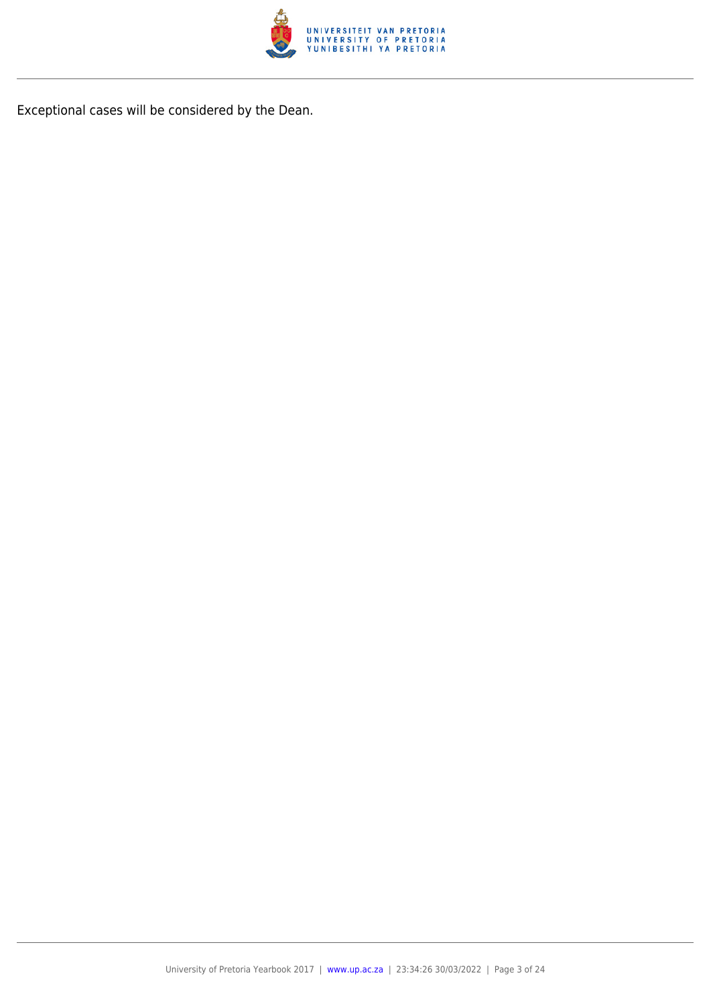

Exceptional cases will be considered by the Dean.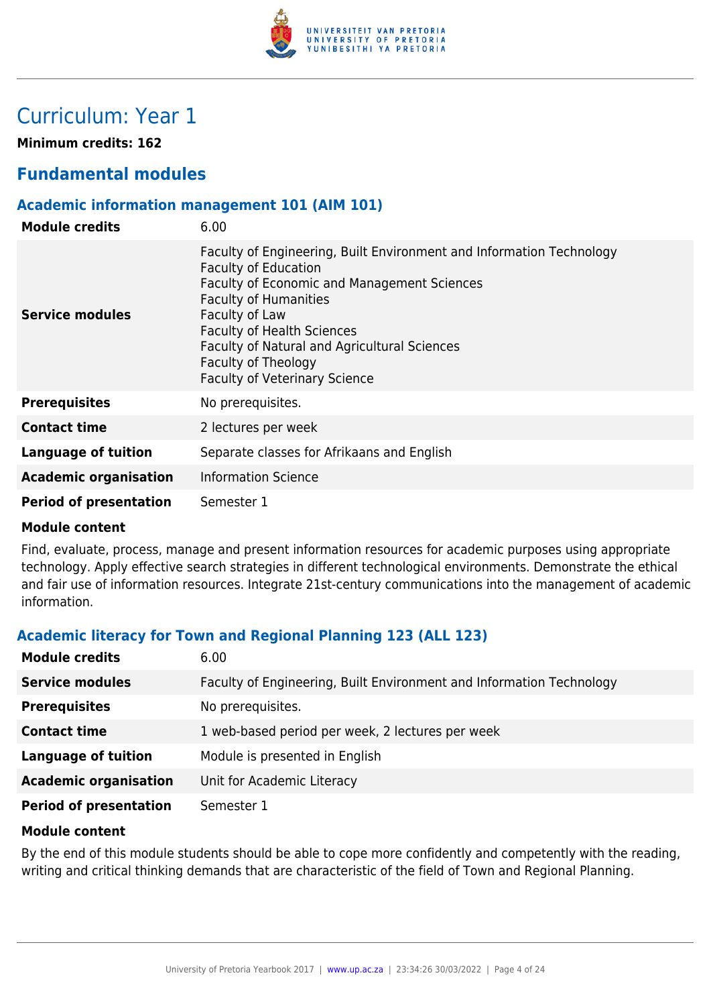

## Curriculum: Year 1

**Minimum credits: 162**

## **Fundamental modules**

### **Academic information management 101 (AIM 101)**

| <b>Module credits</b>         | 6.00                                                                                                                                                                                                                                                                                                                                                     |
|-------------------------------|----------------------------------------------------------------------------------------------------------------------------------------------------------------------------------------------------------------------------------------------------------------------------------------------------------------------------------------------------------|
| <b>Service modules</b>        | Faculty of Engineering, Built Environment and Information Technology<br><b>Faculty of Education</b><br>Faculty of Economic and Management Sciences<br><b>Faculty of Humanities</b><br>Faculty of Law<br><b>Faculty of Health Sciences</b><br>Faculty of Natural and Agricultural Sciences<br>Faculty of Theology<br><b>Faculty of Veterinary Science</b> |
| <b>Prerequisites</b>          | No prerequisites.                                                                                                                                                                                                                                                                                                                                        |
| <b>Contact time</b>           | 2 lectures per week                                                                                                                                                                                                                                                                                                                                      |
| Language of tuition           | Separate classes for Afrikaans and English                                                                                                                                                                                                                                                                                                               |
| <b>Academic organisation</b>  | <b>Information Science</b>                                                                                                                                                                                                                                                                                                                               |
| <b>Period of presentation</b> | Semester 1                                                                                                                                                                                                                                                                                                                                               |

#### **Module content**

Find, evaluate, process, manage and present information resources for academic purposes using appropriate technology. Apply effective search strategies in different technological environments. Demonstrate the ethical and fair use of information resources. Integrate 21st-century communications into the management of academic information.

## **Academic literacy for Town and Regional Planning 123 (ALL 123)**

| <b>Module credits</b>         | 6.00                                                                 |
|-------------------------------|----------------------------------------------------------------------|
| <b>Service modules</b>        | Faculty of Engineering, Built Environment and Information Technology |
| <b>Prerequisites</b>          | No prerequisites.                                                    |
| <b>Contact time</b>           | 1 web-based period per week, 2 lectures per week                     |
| <b>Language of tuition</b>    | Module is presented in English                                       |
| <b>Academic organisation</b>  | Unit for Academic Literacy                                           |
| <b>Period of presentation</b> | Semester 1                                                           |

#### **Module content**

By the end of this module students should be able to cope more confidently and competently with the reading, writing and critical thinking demands that are characteristic of the field of Town and Regional Planning.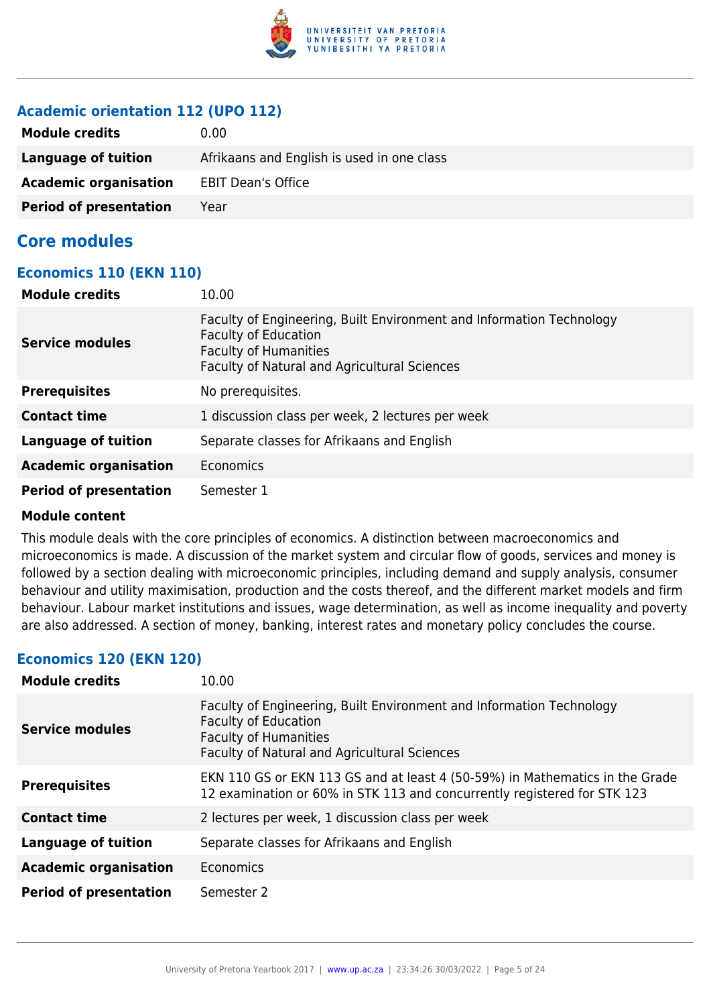

## **Academic orientation 112 (UPO 112)**

| <b>Module credits</b>         | 0.00                                       |
|-------------------------------|--------------------------------------------|
| Language of tuition           | Afrikaans and English is used in one class |
| <b>Academic organisation</b>  | <b>EBIT Dean's Office</b>                  |
| <b>Period of presentation</b> | Year                                       |

## **Core modules**

#### **Economics 110 (EKN 110)**

| <b>Module credits</b>         | 10.00                                                                                                                                                                               |
|-------------------------------|-------------------------------------------------------------------------------------------------------------------------------------------------------------------------------------|
| <b>Service modules</b>        | Faculty of Engineering, Built Environment and Information Technology<br><b>Faculty of Education</b><br><b>Faculty of Humanities</b><br>Faculty of Natural and Agricultural Sciences |
| <b>Prerequisites</b>          | No prerequisites.                                                                                                                                                                   |
| <b>Contact time</b>           | 1 discussion class per week, 2 lectures per week                                                                                                                                    |
| <b>Language of tuition</b>    | Separate classes for Afrikaans and English                                                                                                                                          |
| <b>Academic organisation</b>  | Economics                                                                                                                                                                           |
| <b>Period of presentation</b> | Semester 1                                                                                                                                                                          |

#### **Module content**

This module deals with the core principles of economics. A distinction between macroeconomics and microeconomics is made. A discussion of the market system and circular flow of goods, services and money is followed by a section dealing with microeconomic principles, including demand and supply analysis, consumer behaviour and utility maximisation, production and the costs thereof, and the different market models and firm behaviour. Labour market institutions and issues, wage determination, as well as income inequality and poverty are also addressed. A section of money, banking, interest rates and monetary policy concludes the course.

## **Economics 120 (EKN 120)**

| <b>Module credits</b>         | 10.00                                                                                                                                                                               |
|-------------------------------|-------------------------------------------------------------------------------------------------------------------------------------------------------------------------------------|
| <b>Service modules</b>        | Faculty of Engineering, Built Environment and Information Technology<br><b>Faculty of Education</b><br><b>Faculty of Humanities</b><br>Faculty of Natural and Agricultural Sciences |
| <b>Prerequisites</b>          | EKN 110 GS or EKN 113 GS and at least 4 (50-59%) in Mathematics in the Grade<br>12 examination or 60% in STK 113 and concurrently registered for STK 123                            |
| <b>Contact time</b>           | 2 lectures per week, 1 discussion class per week                                                                                                                                    |
| <b>Language of tuition</b>    | Separate classes for Afrikaans and English                                                                                                                                          |
| <b>Academic organisation</b>  | Economics                                                                                                                                                                           |
| <b>Period of presentation</b> | Semester 2                                                                                                                                                                          |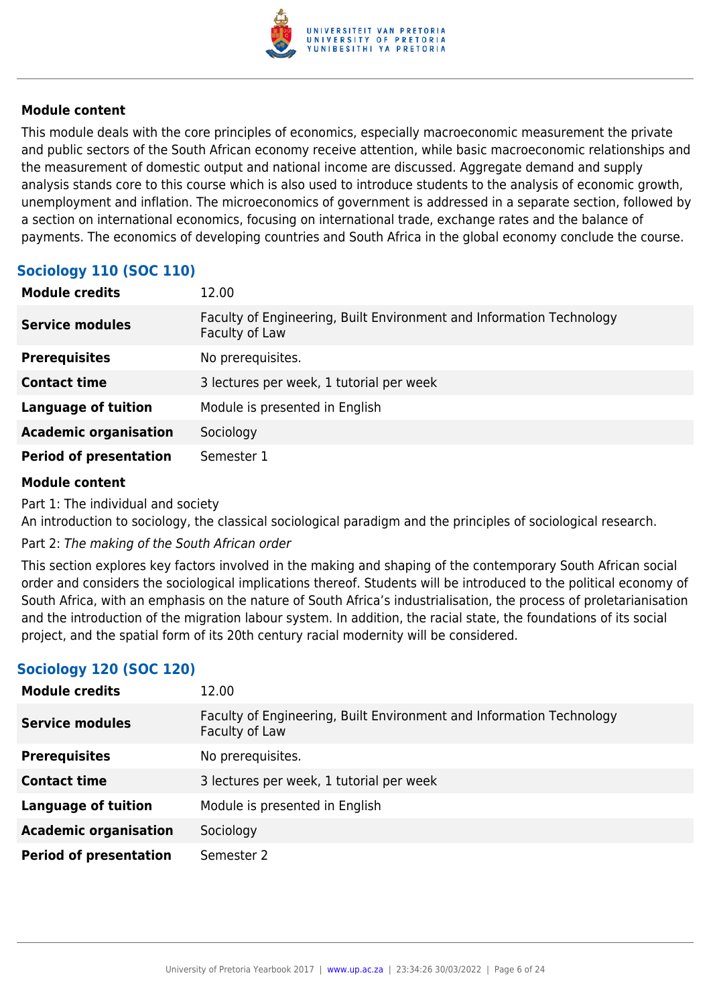

This module deals with the core principles of economics, especially macroeconomic measurement the private and public sectors of the South African economy receive attention, while basic macroeconomic relationships and the measurement of domestic output and national income are discussed. Aggregate demand and supply analysis stands core to this course which is also used to introduce students to the analysis of economic growth, unemployment and inflation. The microeconomics of government is addressed in a separate section, followed by a section on international economics, focusing on international trade, exchange rates and the balance of payments. The economics of developing countries and South Africa in the global economy conclude the course.

## **Sociology 110 (SOC 110)**

| <b>Module credits</b>         | 12.00                                                                                  |
|-------------------------------|----------------------------------------------------------------------------------------|
| <b>Service modules</b>        | Faculty of Engineering, Built Environment and Information Technology<br>Faculty of Law |
| <b>Prerequisites</b>          | No prerequisites.                                                                      |
| <b>Contact time</b>           | 3 lectures per week, 1 tutorial per week                                               |
| <b>Language of tuition</b>    | Module is presented in English                                                         |
| <b>Academic organisation</b>  | Sociology                                                                              |
| <b>Period of presentation</b> | Semester 1                                                                             |

#### **Module content**

Part 1: The individual and society

An introduction to sociology, the classical sociological paradigm and the principles of sociological research.

Part 2: The making of the South African order

This section explores key factors involved in the making and shaping of the contemporary South African social order and considers the sociological implications thereof. Students will be introduced to the political economy of South Africa, with an emphasis on the nature of South Africa's industrialisation, the process of proletarianisation and the introduction of the migration labour system. In addition, the racial state, the foundations of its social project, and the spatial form of its 20th century racial modernity will be considered.

## **Sociology 120 (SOC 120)**

| <b>Module credits</b>         | 12.00                                                                                  |
|-------------------------------|----------------------------------------------------------------------------------------|
| <b>Service modules</b>        | Faculty of Engineering, Built Environment and Information Technology<br>Faculty of Law |
| <b>Prerequisites</b>          | No prerequisites.                                                                      |
| <b>Contact time</b>           | 3 lectures per week, 1 tutorial per week                                               |
| <b>Language of tuition</b>    | Module is presented in English                                                         |
| <b>Academic organisation</b>  | Sociology                                                                              |
| <b>Period of presentation</b> | Semester 2                                                                             |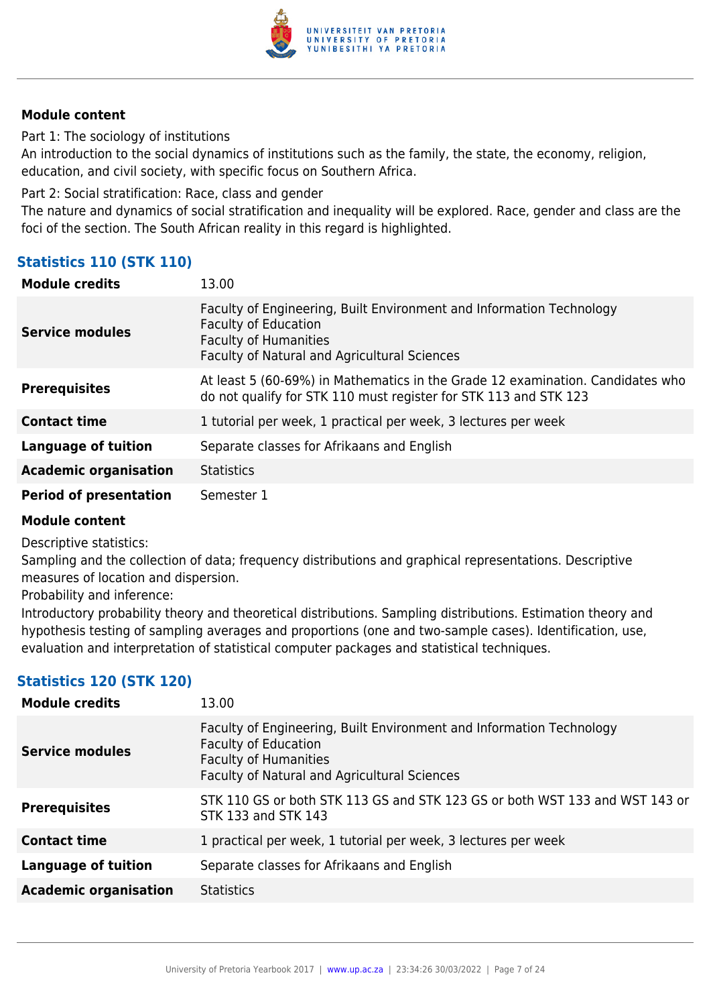

Part 1: The sociology of institutions

An introduction to the social dynamics of institutions such as the family, the state, the economy, religion, education, and civil society, with specific focus on Southern Africa.

Part 2: Social stratification: Race, class and gender

The nature and dynamics of social stratification and inequality will be explored. Race, gender and class are the foci of the section. The South African reality in this regard is highlighted.

## **Statistics 110 (STK 110)**

| <b>Module credits</b>         | 13.00                                                                                                                                                                                      |
|-------------------------------|--------------------------------------------------------------------------------------------------------------------------------------------------------------------------------------------|
| <b>Service modules</b>        | Faculty of Engineering, Built Environment and Information Technology<br><b>Faculty of Education</b><br><b>Faculty of Humanities</b><br><b>Faculty of Natural and Agricultural Sciences</b> |
| <b>Prerequisites</b>          | At least 5 (60-69%) in Mathematics in the Grade 12 examination. Candidates who<br>do not qualify for STK 110 must register for STK 113 and STK 123                                         |
| <b>Contact time</b>           | 1 tutorial per week, 1 practical per week, 3 lectures per week                                                                                                                             |
| <b>Language of tuition</b>    | Separate classes for Afrikaans and English                                                                                                                                                 |
| <b>Academic organisation</b>  | <b>Statistics</b>                                                                                                                                                                          |
| <b>Period of presentation</b> | Semester 1                                                                                                                                                                                 |

## **Module content**

Descriptive statistics:

Sampling and the collection of data; frequency distributions and graphical representations. Descriptive measures of location and dispersion.

Probability and inference:

Introductory probability theory and theoretical distributions. Sampling distributions. Estimation theory and hypothesis testing of sampling averages and proportions (one and two-sample cases). Identification, use, evaluation and interpretation of statistical computer packages and statistical techniques.

## **Statistics 120 (STK 120)**

| <b>Module credits</b>        | 13.00                                                                                                                                                                               |
|------------------------------|-------------------------------------------------------------------------------------------------------------------------------------------------------------------------------------|
| <b>Service modules</b>       | Faculty of Engineering, Built Environment and Information Technology<br><b>Faculty of Education</b><br><b>Faculty of Humanities</b><br>Faculty of Natural and Agricultural Sciences |
| <b>Prerequisites</b>         | STK 110 GS or both STK 113 GS and STK 123 GS or both WST 133 and WST 143 or<br>STK 133 and STK 143                                                                                  |
| <b>Contact time</b>          | 1 practical per week, 1 tutorial per week, 3 lectures per week                                                                                                                      |
| <b>Language of tuition</b>   | Separate classes for Afrikaans and English                                                                                                                                          |
| <b>Academic organisation</b> | <b>Statistics</b>                                                                                                                                                                   |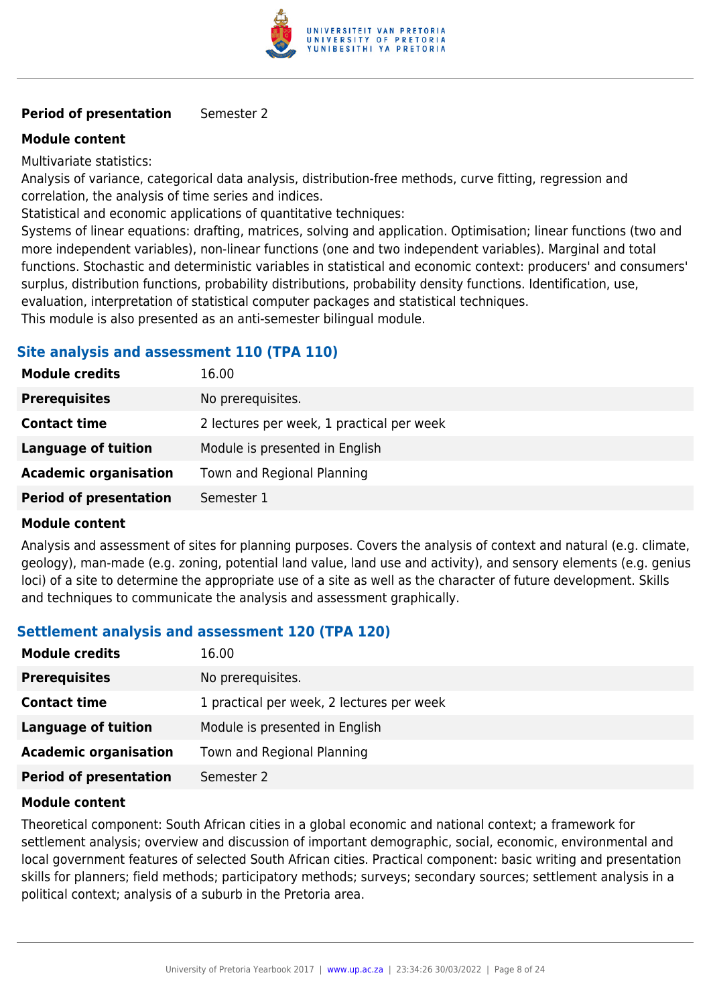

#### **Period of presentation** Semester 2

#### **Module content**

Multivariate statistics:

Analysis of variance, categorical data analysis, distribution-free methods, curve fitting, regression and correlation, the analysis of time series and indices.

Statistical and economic applications of quantitative techniques:

Systems of linear equations: drafting, matrices, solving and application. Optimisation; linear functions (two and more independent variables), non-linear functions (one and two independent variables). Marginal and total functions. Stochastic and deterministic variables in statistical and economic context: producers' and consumers' surplus, distribution functions, probability distributions, probability density functions. Identification, use, evaluation, interpretation of statistical computer packages and statistical techniques.

This module is also presented as an anti-semester bilingual module.

#### **Site analysis and assessment 110 (TPA 110)**

| <b>Module credits</b>         | 16.00                                     |
|-------------------------------|-------------------------------------------|
| <b>Prerequisites</b>          | No prerequisites.                         |
| <b>Contact time</b>           | 2 lectures per week, 1 practical per week |
| <b>Language of tuition</b>    | Module is presented in English            |
| <b>Academic organisation</b>  | Town and Regional Planning                |
| <b>Period of presentation</b> | Semester 1                                |

#### **Module content**

Analysis and assessment of sites for planning purposes. Covers the analysis of context and natural (e.g. climate, geology), man-made (e.g. zoning, potential land value, land use and activity), and sensory elements (e.g. genius loci) of a site to determine the appropriate use of a site as well as the character of future development. Skills and techniques to communicate the analysis and assessment graphically.

## **Settlement analysis and assessment 120 (TPA 120)**

| <b>Module credits</b>         | 16.00                                     |
|-------------------------------|-------------------------------------------|
| <b>Prerequisites</b>          | No prerequisites.                         |
| <b>Contact time</b>           | 1 practical per week, 2 lectures per week |
| <b>Language of tuition</b>    | Module is presented in English            |
| <b>Academic organisation</b>  | Town and Regional Planning                |
| <b>Period of presentation</b> | Semester 2                                |

#### **Module content**

Theoretical component: South African cities in a global economic and national context; a framework for settlement analysis; overview and discussion of important demographic, social, economic, environmental and local government features of selected South African cities. Practical component: basic writing and presentation skills for planners; field methods; participatory methods; surveys; secondary sources; settlement analysis in a political context; analysis of a suburb in the Pretoria area.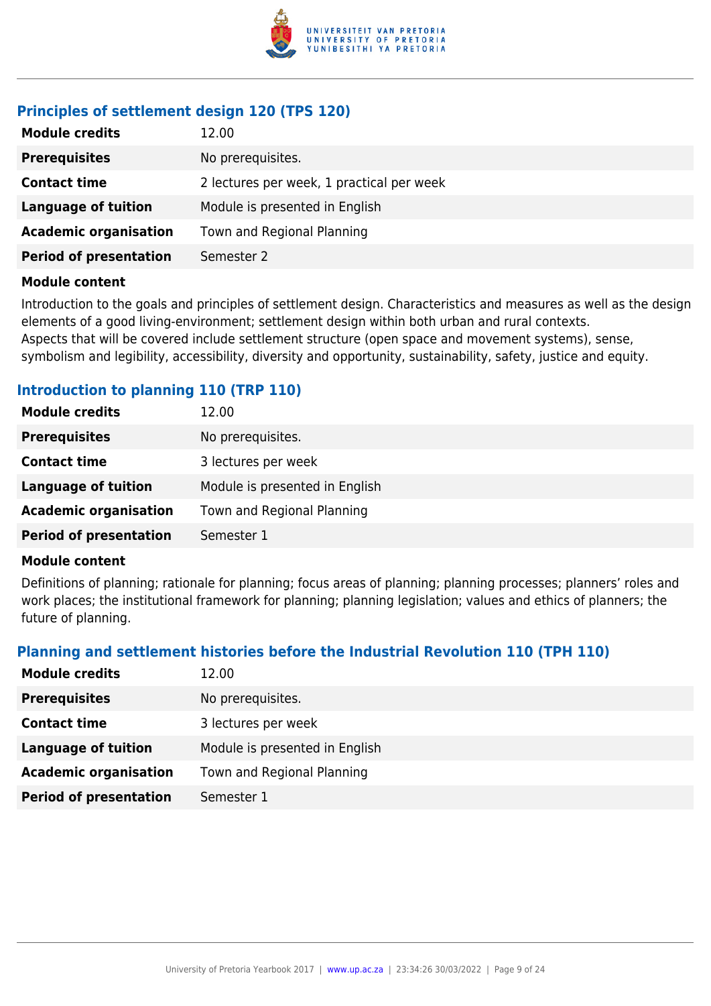

## **Principles of settlement design 120 (TPS 120)**

| <b>Module credits</b><br>12.00 |                                           |
|--------------------------------|-------------------------------------------|
| <b>Prerequisites</b>           | No prerequisites.                         |
| <b>Contact time</b>            | 2 lectures per week, 1 practical per week |
| <b>Language of tuition</b>     | Module is presented in English            |
| <b>Academic organisation</b>   | Town and Regional Planning                |
| <b>Period of presentation</b>  | Semester 2                                |

#### **Module content**

Introduction to the goals and principles of settlement design. Characteristics and measures as well as the design elements of a good living-environment; settlement design within both urban and rural contexts. Aspects that will be covered include settlement structure (open space and movement systems), sense, symbolism and legibility, accessibility, diversity and opportunity, sustainability, safety, justice and equity.

## **Introduction to planning 110 (TRP 110)**

| <b>Module credits</b>         | 12.00                          |
|-------------------------------|--------------------------------|
| <b>Prerequisites</b>          | No prerequisites.              |
| <b>Contact time</b>           | 3 lectures per week            |
| <b>Language of tuition</b>    | Module is presented in English |
| <b>Academic organisation</b>  | Town and Regional Planning     |
| <b>Period of presentation</b> | Semester 1                     |

#### **Module content**

Definitions of planning; rationale for planning; focus areas of planning; planning processes; planners' roles and work places; the institutional framework for planning; planning legislation; values and ethics of planners; the future of planning.

## **Planning and settlement histories before the Industrial Revolution 110 (TPH 110)**

| <b>Module credits</b>         | 12.00                          |
|-------------------------------|--------------------------------|
| <b>Prerequisites</b>          | No prerequisites.              |
| <b>Contact time</b>           | 3 lectures per week            |
| Language of tuition           | Module is presented in English |
| <b>Academic organisation</b>  | Town and Regional Planning     |
| <b>Period of presentation</b> | Semester 1                     |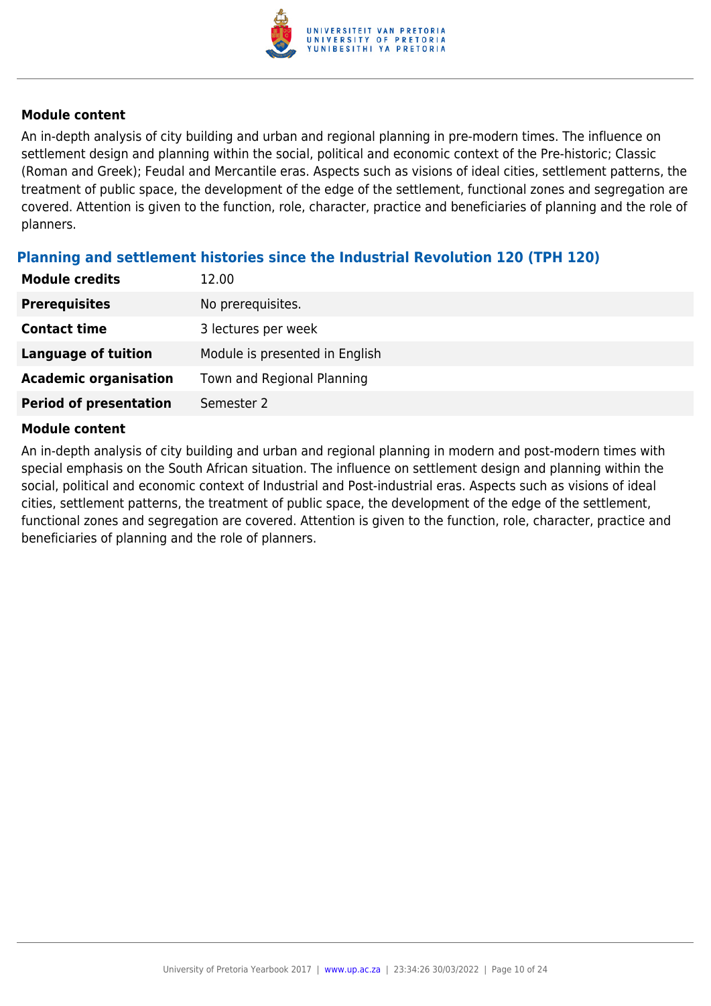

An in-depth analysis of city building and urban and regional planning in pre-modern times. The influence on settlement design and planning within the social, political and economic context of the Pre-historic; Classic (Roman and Greek); Feudal and Mercantile eras. Aspects such as visions of ideal cities, settlement patterns, the treatment of public space, the development of the edge of the settlement, functional zones and segregation are covered. Attention is given to the function, role, character, practice and beneficiaries of planning and the role of planners.

## **Planning and settlement histories since the Industrial Revolution 120 (TPH 120)**

| <b>Module credits</b>         | 12.00                          |
|-------------------------------|--------------------------------|
| <b>Prerequisites</b>          | No prerequisites.              |
| <b>Contact time</b>           | 3 lectures per week            |
| Language of tuition           | Module is presented in English |
| <b>Academic organisation</b>  | Town and Regional Planning     |
| <b>Period of presentation</b> | Semester 2                     |

#### **Module content**

An in-depth analysis of city building and urban and regional planning in modern and post-modern times with special emphasis on the South African situation. The influence on settlement design and planning within the social, political and economic context of Industrial and Post-industrial eras. Aspects such as visions of ideal cities, settlement patterns, the treatment of public space, the development of the edge of the settlement, functional zones and segregation are covered. Attention is given to the function, role, character, practice and beneficiaries of planning and the role of planners.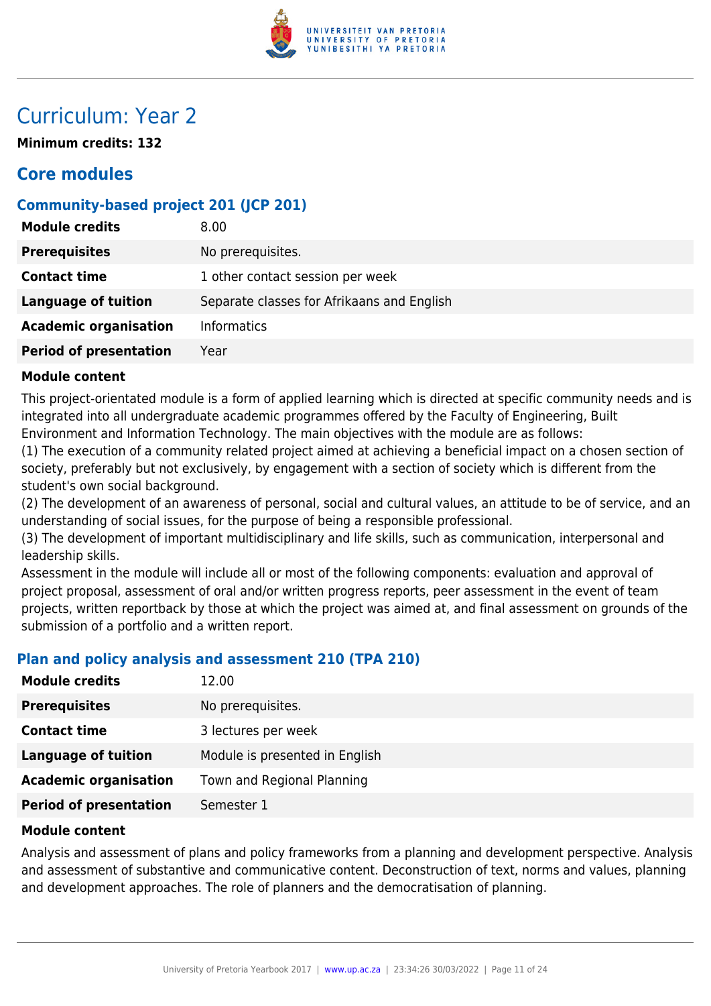

## Curriculum: Year 2

**Minimum credits: 132**

## **Core modules**

## **Community-based project 201 (JCP 201)**

| <b>Module credits</b>         | 8.00                                       |
|-------------------------------|--------------------------------------------|
| <b>Prerequisites</b>          | No prerequisites.                          |
| <b>Contact time</b>           | 1 other contact session per week           |
| <b>Language of tuition</b>    | Separate classes for Afrikaans and English |
| <b>Academic organisation</b>  | <b>Informatics</b>                         |
| <b>Period of presentation</b> | Year                                       |

#### **Module content**

This project-orientated module is a form of applied learning which is directed at specific community needs and is integrated into all undergraduate academic programmes offered by the Faculty of Engineering, Built Environment and Information Technology. The main objectives with the module are as follows:

(1) The execution of a community related project aimed at achieving a beneficial impact on a chosen section of society, preferably but not exclusively, by engagement with a section of society which is different from the student's own social background.

(2) The development of an awareness of personal, social and cultural values, an attitude to be of service, and an understanding of social issues, for the purpose of being a responsible professional.

(3) The development of important multidisciplinary and life skills, such as communication, interpersonal and leadership skills.

Assessment in the module will include all or most of the following components: evaluation and approval of project proposal, assessment of oral and/or written progress reports, peer assessment in the event of team projects, written reportback by those at which the project was aimed at, and final assessment on grounds of the submission of a portfolio and a written report.

## **Plan and policy analysis and assessment 210 (TPA 210)**

| <b>Module credits</b>         | 12.00                          |
|-------------------------------|--------------------------------|
| <b>Prerequisites</b>          | No prerequisites.              |
| <b>Contact time</b>           | 3 lectures per week            |
| Language of tuition           | Module is presented in English |
| <b>Academic organisation</b>  | Town and Regional Planning     |
| <b>Period of presentation</b> | Semester 1                     |

#### **Module content**

Analysis and assessment of plans and policy frameworks from a planning and development perspective. Analysis and assessment of substantive and communicative content. Deconstruction of text, norms and values, planning and development approaches. The role of planners and the democratisation of planning.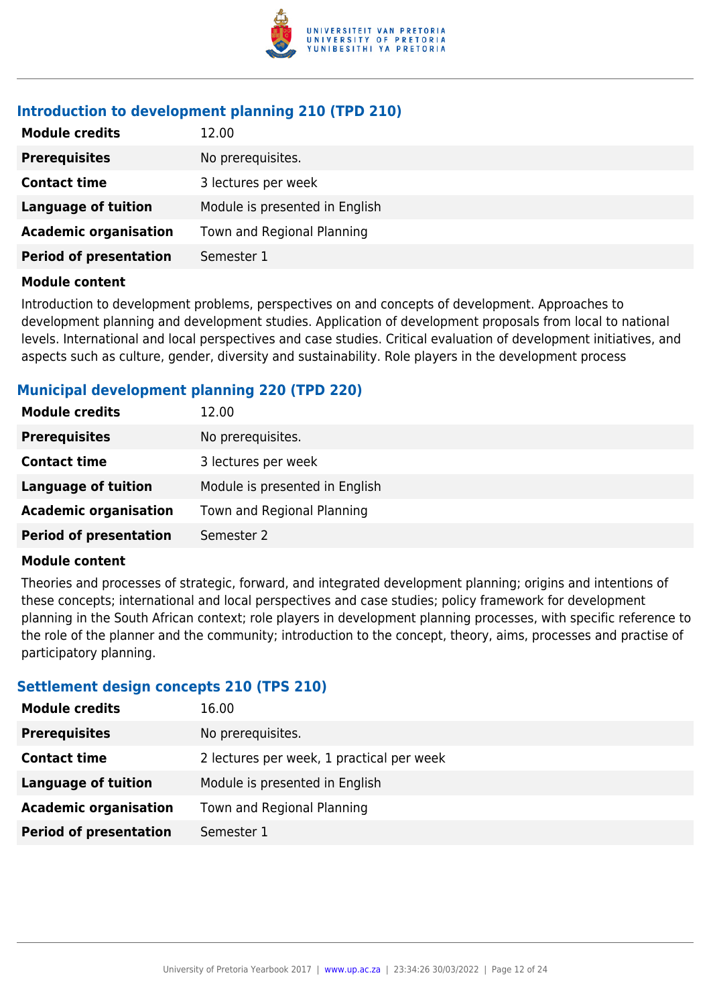

## **Introduction to development planning 210 (TPD 210)**

| <b>Module credits</b>         | 12.00                          |
|-------------------------------|--------------------------------|
| <b>Prerequisites</b>          | No prerequisites.              |
| <b>Contact time</b>           | 3 lectures per week            |
| <b>Language of tuition</b>    | Module is presented in English |
| <b>Academic organisation</b>  | Town and Regional Planning     |
| <b>Period of presentation</b> | Semester 1                     |
|                               |                                |

#### **Module content**

Introduction to development problems, perspectives on and concepts of development. Approaches to development planning and development studies. Application of development proposals from local to national levels. International and local perspectives and case studies. Critical evaluation of development initiatives, and aspects such as culture, gender, diversity and sustainability. Role players in the development process

## **Municipal development planning 220 (TPD 220)**

| <b>Module credits</b>         | 12.00                          |
|-------------------------------|--------------------------------|
| <b>Prerequisites</b>          | No prerequisites.              |
| <b>Contact time</b>           | 3 lectures per week            |
| Language of tuition           | Module is presented in English |
| <b>Academic organisation</b>  | Town and Regional Planning     |
| <b>Period of presentation</b> | Semester 2                     |

#### **Module content**

Theories and processes of strategic, forward, and integrated development planning; origins and intentions of these concepts; international and local perspectives and case studies; policy framework for development planning in the South African context; role players in development planning processes, with specific reference to the role of the planner and the community; introduction to the concept, theory, aims, processes and practise of participatory planning.

#### **Settlement design concepts 210 (TPS 210)**

| <b>Module credits</b>         | 16.00                                     |
|-------------------------------|-------------------------------------------|
| <b>Prerequisites</b>          | No prerequisites.                         |
| <b>Contact time</b>           | 2 lectures per week, 1 practical per week |
| Language of tuition           | Module is presented in English            |
| <b>Academic organisation</b>  | Town and Regional Planning                |
| <b>Period of presentation</b> | Semester 1                                |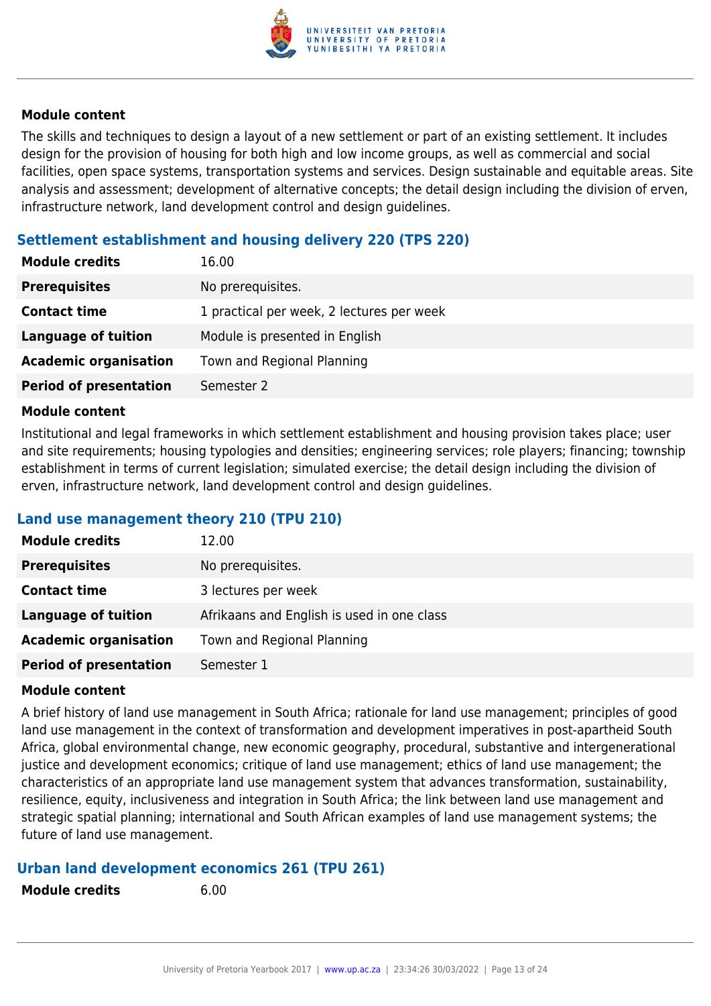

The skills and techniques to design a layout of a new settlement or part of an existing settlement. It includes design for the provision of housing for both high and low income groups, as well as commercial and social facilities, open space systems, transportation systems and services. Design sustainable and equitable areas. Site analysis and assessment; development of alternative concepts; the detail design including the division of erven, infrastructure network, land development control and design guidelines.

## **Settlement establishment and housing delivery 220 (TPS 220)**

| <b>Module credits</b>         | 16.00                                     |
|-------------------------------|-------------------------------------------|
| <b>Prerequisites</b>          | No prerequisites.                         |
| <b>Contact time</b>           | 1 practical per week, 2 lectures per week |
| <b>Language of tuition</b>    | Module is presented in English            |
| <b>Academic organisation</b>  | Town and Regional Planning                |
| <b>Period of presentation</b> | Semester 2                                |

#### **Module content**

Institutional and legal frameworks in which settlement establishment and housing provision takes place; user and site requirements; housing typologies and densities; engineering services; role players; financing; township establishment in terms of current legislation; simulated exercise; the detail design including the division of erven, infrastructure network, land development control and design guidelines.

## **Land use management theory 210 (TPU 210)**

| <b>Module credits</b>         | 12.00                                      |
|-------------------------------|--------------------------------------------|
| <b>Prerequisites</b>          | No prerequisites.                          |
| <b>Contact time</b>           | 3 lectures per week                        |
| Language of tuition           | Afrikaans and English is used in one class |
| <b>Academic organisation</b>  | Town and Regional Planning                 |
| <b>Period of presentation</b> | Semester 1                                 |

#### **Module content**

A brief history of land use management in South Africa; rationale for land use management; principles of good land use management in the context of transformation and development imperatives in post-apartheid South Africa, global environmental change, new economic geography, procedural, substantive and intergenerational justice and development economics; critique of land use management; ethics of land use management; the characteristics of an appropriate land use management system that advances transformation, sustainability, resilience, equity, inclusiveness and integration in South Africa; the link between land use management and strategic spatial planning; international and South African examples of land use management systems; the future of land use management.

#### **Urban land development economics 261 (TPU 261)**

| <b>Module credits</b> | 6.00 |
|-----------------------|------|
|                       |      |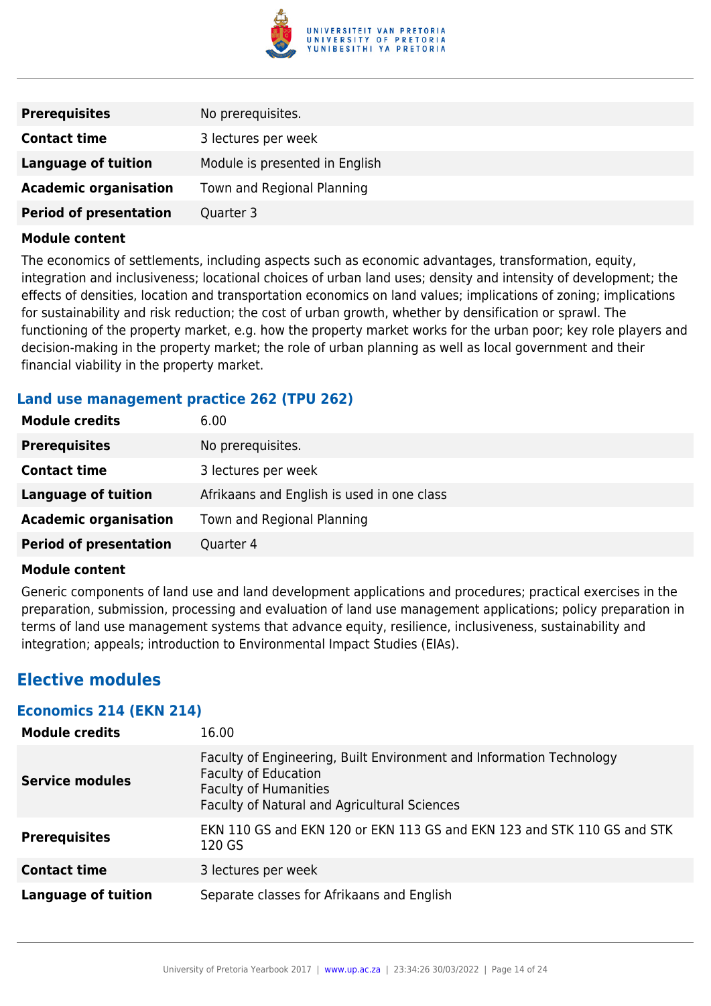

| <b>Prerequisites</b>          | No prerequisites.              |
|-------------------------------|--------------------------------|
| <b>Contact time</b>           | 3 lectures per week            |
| <b>Language of tuition</b>    | Module is presented in English |
| <b>Academic organisation</b>  | Town and Regional Planning     |
| <b>Period of presentation</b> | Quarter 3                      |

The economics of settlements, including aspects such as economic advantages, transformation, equity, integration and inclusiveness; locational choices of urban land uses; density and intensity of development; the effects of densities, location and transportation economics on land values; implications of zoning; implications for sustainability and risk reduction; the cost of urban growth, whether by densification or sprawl. The functioning of the property market, e.g. how the property market works for the urban poor; key role players and decision-making in the property market; the role of urban planning as well as local government and their financial viability in the property market.

#### **Land use management practice 262 (TPU 262)**

| <b>Module credits</b>         | 6.00                                       |
|-------------------------------|--------------------------------------------|
| <b>Prerequisites</b>          | No prerequisites.                          |
| <b>Contact time</b>           | 3 lectures per week                        |
| <b>Language of tuition</b>    | Afrikaans and English is used in one class |
| <b>Academic organisation</b>  | Town and Regional Planning                 |
| <b>Period of presentation</b> | Quarter 4                                  |

#### **Module content**

Generic components of land use and land development applications and procedures; practical exercises in the preparation, submission, processing and evaluation of land use management applications; policy preparation in terms of land use management systems that advance equity, resilience, inclusiveness, sustainability and integration; appeals; introduction to Environmental Impact Studies (EIAs).

## **Elective modules**

#### **Economics 214 (EKN 214)**

| <b>Module credits</b>      | 16.00                                                                                                                                                                               |
|----------------------------|-------------------------------------------------------------------------------------------------------------------------------------------------------------------------------------|
| <b>Service modules</b>     | Faculty of Engineering, Built Environment and Information Technology<br><b>Faculty of Education</b><br><b>Faculty of Humanities</b><br>Faculty of Natural and Agricultural Sciences |
| <b>Prerequisites</b>       | EKN 110 GS and EKN 120 or EKN 113 GS and EKN 123 and STK 110 GS and STK<br>120 GS                                                                                                   |
| <b>Contact time</b>        | 3 lectures per week                                                                                                                                                                 |
| <b>Language of tuition</b> | Separate classes for Afrikaans and English                                                                                                                                          |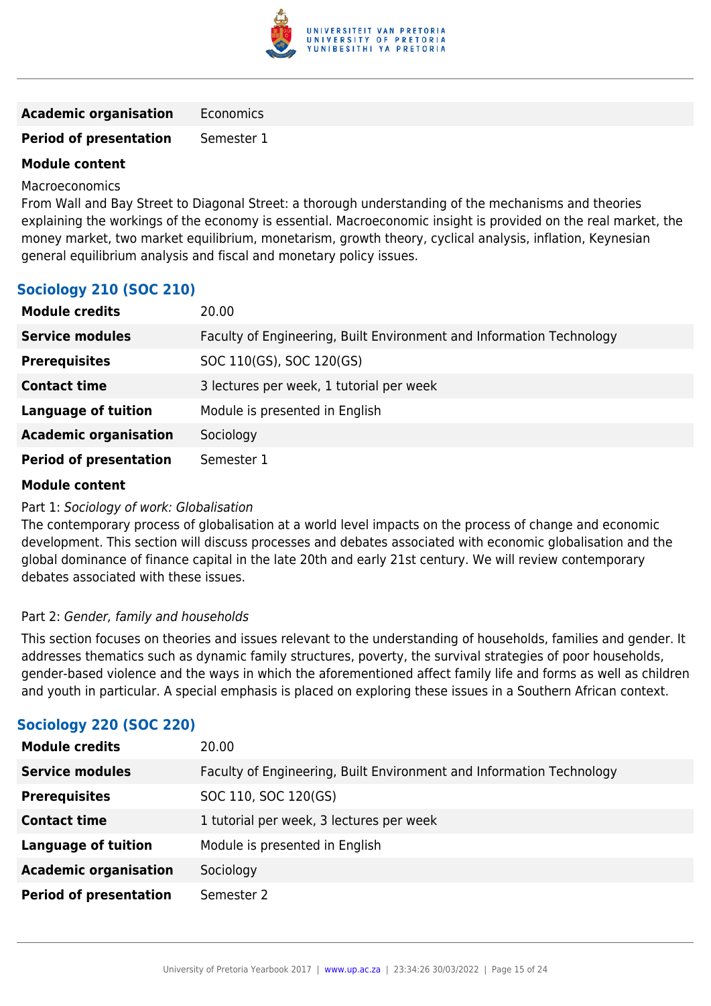

| <b>Academic organisation</b> | Economics |
|------------------------------|-----------|
|------------------------------|-----------|

#### **Period of presentation** Semester 1

#### **Module content**

Macroeconomics

From Wall and Bay Street to Diagonal Street: a thorough understanding of the mechanisms and theories explaining the workings of the economy is essential. Macroeconomic insight is provided on the real market, the money market, two market equilibrium, monetarism, growth theory, cyclical analysis, inflation, Keynesian general equilibrium analysis and fiscal and monetary policy issues.

| <b>Sociology 210 (SOC 210)</b> |  |  |
|--------------------------------|--|--|
|                                |  |  |

| <b>Module credits</b>         | 20.00                                                                |
|-------------------------------|----------------------------------------------------------------------|
| <b>Service modules</b>        | Faculty of Engineering, Built Environment and Information Technology |
| <b>Prerequisites</b>          | SOC 110(GS), SOC 120(GS)                                             |
| <b>Contact time</b>           | 3 lectures per week, 1 tutorial per week                             |
| <b>Language of tuition</b>    | Module is presented in English                                       |
| <b>Academic organisation</b>  | Sociology                                                            |
| <b>Period of presentation</b> | Semester 1                                                           |

#### **Module content**

#### Part 1: Sociology of work: Globalisation

The contemporary process of globalisation at a world level impacts on the process of change and economic development. This section will discuss processes and debates associated with economic globalisation and the global dominance of finance capital in the late 20th and early 21st century. We will review contemporary debates associated with these issues.

#### Part 2: Gender, family and households

This section focuses on theories and issues relevant to the understanding of households, families and gender. It addresses thematics such as dynamic family structures, poverty, the survival strategies of poor households, gender-based violence and the ways in which the aforementioned affect family life and forms as well as children and youth in particular. A special emphasis is placed on exploring these issues in a Southern African context.

| <b>Module credits</b>         | 20.00                                                                |
|-------------------------------|----------------------------------------------------------------------|
| <b>Service modules</b>        | Faculty of Engineering, Built Environment and Information Technology |
| <b>Prerequisites</b>          | SOC 110, SOC 120(GS)                                                 |
| <b>Contact time</b>           | 1 tutorial per week, 3 lectures per week                             |
| <b>Language of tuition</b>    | Module is presented in English                                       |
| <b>Academic organisation</b>  | Sociology                                                            |
| <b>Period of presentation</b> | Semester 2                                                           |

## **Sociology 220 (SOC 220)**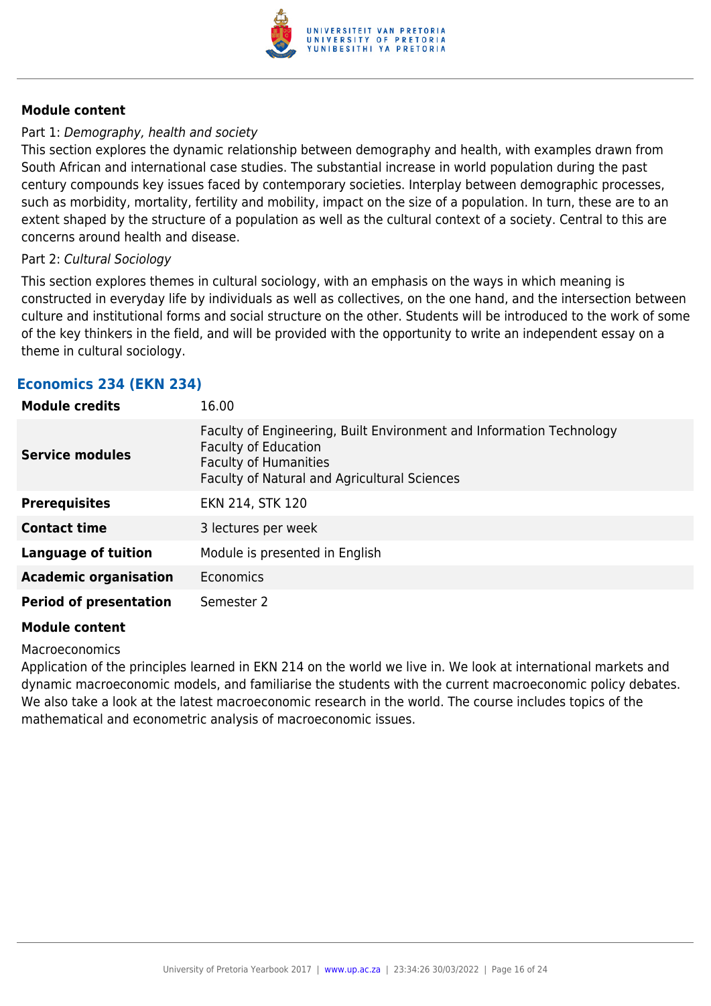

#### Part 1: Demography, health and society

This section explores the dynamic relationship between demography and health, with examples drawn from South African and international case studies. The substantial increase in world population during the past century compounds key issues faced by contemporary societies. Interplay between demographic processes, such as morbidity, mortality, fertility and mobility, impact on the size of a population. In turn, these are to an extent shaped by the structure of a population as well as the cultural context of a society. Central to this are concerns around health and disease.

#### Part 2: Cultural Sociology

This section explores themes in cultural sociology, with an emphasis on the ways in which meaning is constructed in everyday life by individuals as well as collectives, on the one hand, and the intersection between culture and institutional forms and social structure on the other. Students will be introduced to the work of some of the key thinkers in the field, and will be provided with the opportunity to write an independent essay on a theme in cultural sociology.

| Economics 234 (EKN 234) |  |  |  |  |  |
|-------------------------|--|--|--|--|--|
|-------------------------|--|--|--|--|--|

| <b>Module credits</b>         | 16.00                                                                                                                                                                               |
|-------------------------------|-------------------------------------------------------------------------------------------------------------------------------------------------------------------------------------|
| <b>Service modules</b>        | Faculty of Engineering, Built Environment and Information Technology<br><b>Faculty of Education</b><br><b>Faculty of Humanities</b><br>Faculty of Natural and Agricultural Sciences |
| <b>Prerequisites</b>          | EKN 214, STK 120                                                                                                                                                                    |
| <b>Contact time</b>           | 3 lectures per week                                                                                                                                                                 |
| <b>Language of tuition</b>    | Module is presented in English                                                                                                                                                      |
| <b>Academic organisation</b>  | Economics                                                                                                                                                                           |
| <b>Period of presentation</b> | Semester 2                                                                                                                                                                          |

#### **Module content**

Macroeconomics

Application of the principles learned in EKN 214 on the world we live in. We look at international markets and dynamic macroeconomic models, and familiarise the students with the current macroeconomic policy debates. We also take a look at the latest macroeconomic research in the world. The course includes topics of the mathematical and econometric analysis of macroeconomic issues.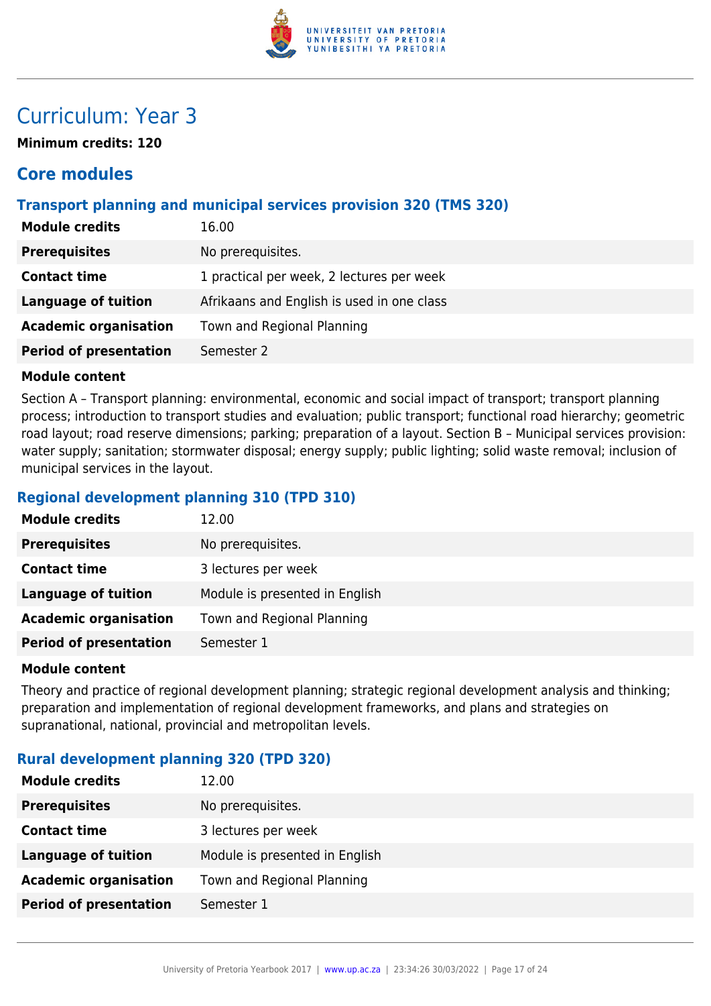

## Curriculum: Year 3

**Minimum credits: 120**

## **Core modules**

## **Transport planning and municipal services provision 320 (TMS 320)**

| <b>Module credits</b>         | 16.00                                      |
|-------------------------------|--------------------------------------------|
| <b>Prerequisites</b>          | No prerequisites.                          |
| <b>Contact time</b>           | 1 practical per week, 2 lectures per week  |
| <b>Language of tuition</b>    | Afrikaans and English is used in one class |
| <b>Academic organisation</b>  | Town and Regional Planning                 |
| <b>Period of presentation</b> | Semester 2                                 |

#### **Module content**

Section A – Transport planning: environmental, economic and social impact of transport; transport planning process; introduction to transport studies and evaluation; public transport; functional road hierarchy; geometric road layout; road reserve dimensions; parking; preparation of a layout. Section B – Municipal services provision: water supply; sanitation; stormwater disposal; energy supply; public lighting; solid waste removal; inclusion of municipal services in the layout.

## **Regional development planning 310 (TPD 310)**

| <b>Module credits</b>         | 12.00                          |
|-------------------------------|--------------------------------|
| <b>Prerequisites</b>          | No prerequisites.              |
| <b>Contact time</b>           | 3 lectures per week            |
| <b>Language of tuition</b>    | Module is presented in English |
| <b>Academic organisation</b>  | Town and Regional Planning     |
| <b>Period of presentation</b> | Semester 1                     |

#### **Module content**

Theory and practice of regional development planning; strategic regional development analysis and thinking; preparation and implementation of regional development frameworks, and plans and strategies on supranational, national, provincial and metropolitan levels.

## **Rural development planning 320 (TPD 320)**

| <b>Module credits</b>         | 12.00                          |
|-------------------------------|--------------------------------|
| <b>Prerequisites</b>          | No prerequisites.              |
| <b>Contact time</b>           | 3 lectures per week            |
| Language of tuition           | Module is presented in English |
| <b>Academic organisation</b>  | Town and Regional Planning     |
| <b>Period of presentation</b> | Semester 1                     |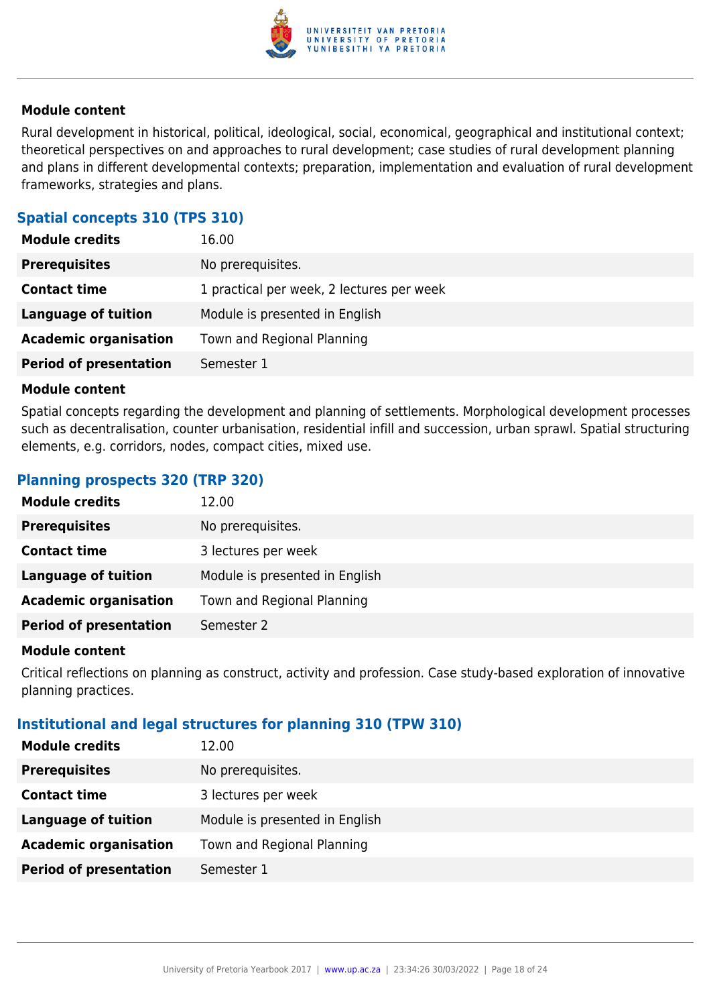

Rural development in historical, political, ideological, social, economical, geographical and institutional context; theoretical perspectives on and approaches to rural development; case studies of rural development planning and plans in different developmental contexts; preparation, implementation and evaluation of rural development frameworks, strategies and plans.

## **Spatial concepts 310 (TPS 310)**

| <b>Module credits</b>         | 16.00                                     |
|-------------------------------|-------------------------------------------|
| <b>Prerequisites</b>          | No prerequisites.                         |
| <b>Contact time</b>           | 1 practical per week, 2 lectures per week |
| <b>Language of tuition</b>    | Module is presented in English            |
| <b>Academic organisation</b>  | Town and Regional Planning                |
| <b>Period of presentation</b> | Semester 1                                |

#### **Module content**

Spatial concepts regarding the development and planning of settlements. Morphological development processes such as decentralisation, counter urbanisation, residential infill and succession, urban sprawl. Spatial structuring elements, e.g. corridors, nodes, compact cities, mixed use.

#### **Planning prospects 320 (TRP 320)**

| <b>Module credits</b>         | 12.00                          |
|-------------------------------|--------------------------------|
| <b>Prerequisites</b>          | No prerequisites.              |
| <b>Contact time</b>           | 3 lectures per week            |
| Language of tuition           | Module is presented in English |
| <b>Academic organisation</b>  | Town and Regional Planning     |
| <b>Period of presentation</b> | Semester 2                     |

#### **Module content**

Critical reflections on planning as construct, activity and profession. Case study-based exploration of innovative planning practices.

#### **Institutional and legal structures for planning 310 (TPW 310)**

| <b>Module credits</b>         | 12.00                          |
|-------------------------------|--------------------------------|
| <b>Prerequisites</b>          | No prerequisites.              |
| <b>Contact time</b>           | 3 lectures per week            |
| <b>Language of tuition</b>    | Module is presented in English |
| <b>Academic organisation</b>  | Town and Regional Planning     |
| <b>Period of presentation</b> | Semester 1                     |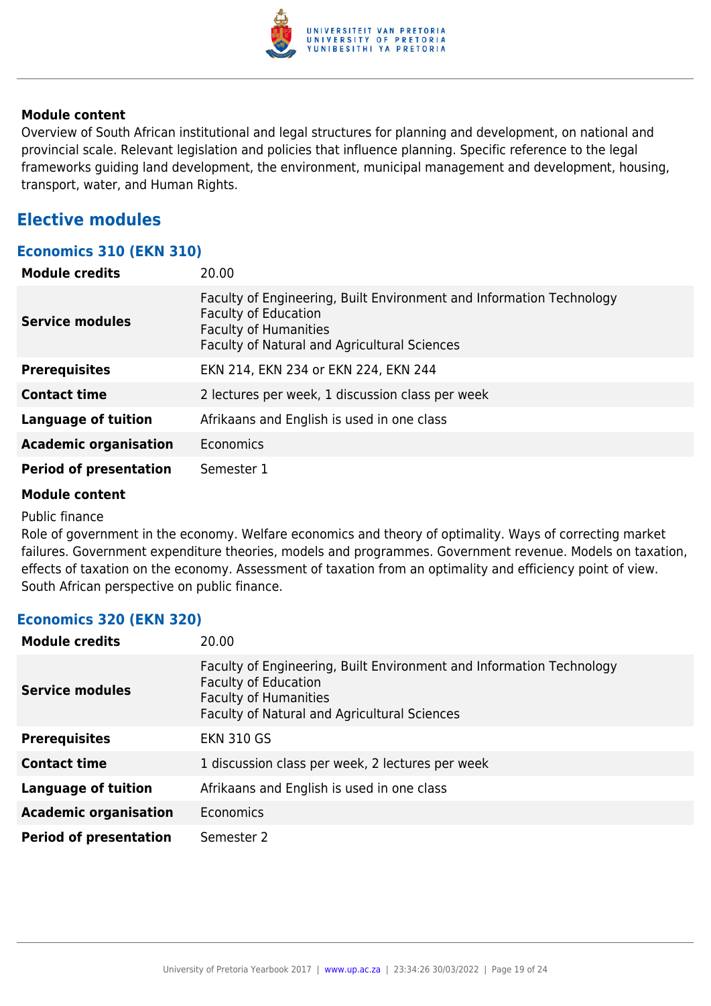

Overview of South African institutional and legal structures for planning and development, on national and provincial scale. Relevant legislation and policies that influence planning. Specific reference to the legal frameworks guiding land development, the environment, municipal management and development, housing, transport, water, and Human Rights.

## **Elective modules**

### **Economics 310 (EKN 310)**

| <b>Module credits</b>         | 20.00                                                                                                                                                                               |
|-------------------------------|-------------------------------------------------------------------------------------------------------------------------------------------------------------------------------------|
| Service modules               | Faculty of Engineering, Built Environment and Information Technology<br><b>Faculty of Education</b><br><b>Faculty of Humanities</b><br>Faculty of Natural and Agricultural Sciences |
| <b>Prerequisites</b>          | EKN 214, EKN 234 or EKN 224, EKN 244                                                                                                                                                |
| <b>Contact time</b>           | 2 lectures per week, 1 discussion class per week                                                                                                                                    |
| <b>Language of tuition</b>    | Afrikaans and English is used in one class                                                                                                                                          |
| <b>Academic organisation</b>  | Economics                                                                                                                                                                           |
| <b>Period of presentation</b> | Semester 1                                                                                                                                                                          |

#### **Module content**

#### Public finance

Role of government in the economy. Welfare economics and theory of optimality. Ways of correcting market failures. Government expenditure theories, models and programmes. Government revenue. Models on taxation, effects of taxation on the economy. Assessment of taxation from an optimality and efficiency point of view. South African perspective on public finance.

#### **Economics 320 (EKN 320)**

| <b>Module credits</b>         | 20.00                                                                                                                                                                               |
|-------------------------------|-------------------------------------------------------------------------------------------------------------------------------------------------------------------------------------|
| Service modules               | Faculty of Engineering, Built Environment and Information Technology<br><b>Faculty of Education</b><br><b>Faculty of Humanities</b><br>Faculty of Natural and Agricultural Sciences |
| <b>Prerequisites</b>          | <b>EKN 310 GS</b>                                                                                                                                                                   |
| <b>Contact time</b>           | 1 discussion class per week, 2 lectures per week                                                                                                                                    |
| <b>Language of tuition</b>    | Afrikaans and English is used in one class                                                                                                                                          |
| <b>Academic organisation</b>  | Economics                                                                                                                                                                           |
| <b>Period of presentation</b> | Semester 2                                                                                                                                                                          |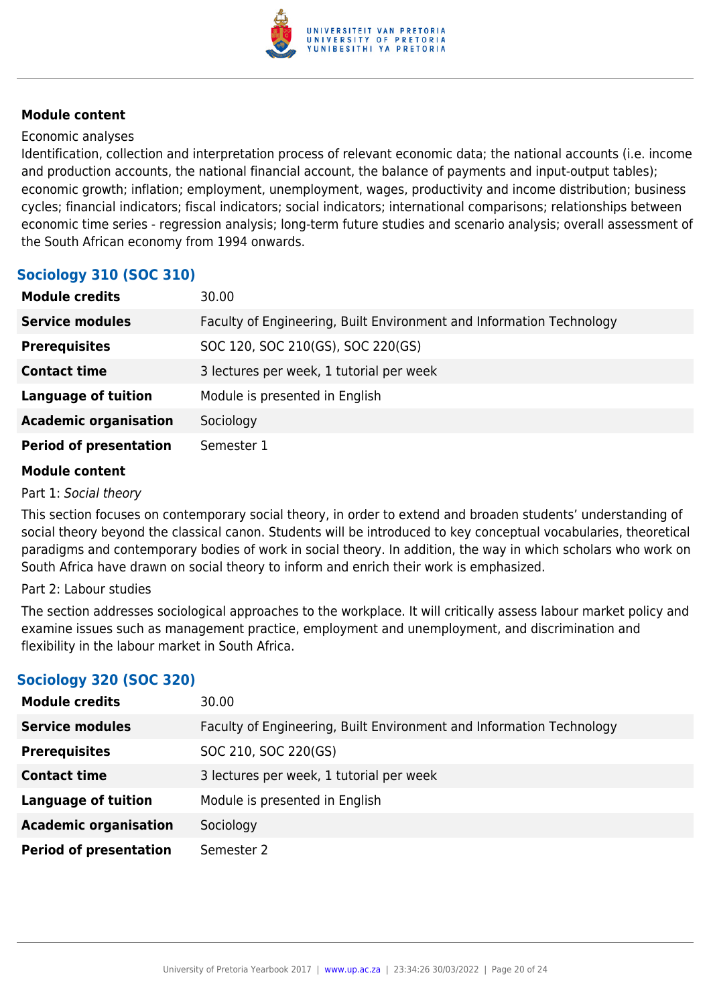

#### Economic analyses

Identification, collection and interpretation process of relevant economic data; the national accounts (i.e. income and production accounts, the national financial account, the balance of payments and input-output tables); economic growth; inflation; employment, unemployment, wages, productivity and income distribution; business cycles; financial indicators; fiscal indicators; social indicators; international comparisons; relationships between economic time series - regression analysis; long-term future studies and scenario analysis; overall assessment of the South African economy from 1994 onwards.

## **Sociology 310 (SOC 310)**

| <b>Module credits</b>         | 30.00                                                                |
|-------------------------------|----------------------------------------------------------------------|
| <b>Service modules</b>        | Faculty of Engineering, Built Environment and Information Technology |
| <b>Prerequisites</b>          | SOC 120, SOC 210(GS), SOC 220(GS)                                    |
| <b>Contact time</b>           | 3 lectures per week, 1 tutorial per week                             |
| <b>Language of tuition</b>    | Module is presented in English                                       |
| <b>Academic organisation</b>  | Sociology                                                            |
| <b>Period of presentation</b> | Semester 1                                                           |

#### **Module content**

Part 1: Social theory

This section focuses on contemporary social theory, in order to extend and broaden students' understanding of social theory beyond the classical canon. Students will be introduced to key conceptual vocabularies, theoretical paradigms and contemporary bodies of work in social theory. In addition, the way in which scholars who work on South Africa have drawn on social theory to inform and enrich their work is emphasized.

#### Part 2: Labour studies

The section addresses sociological approaches to the workplace. It will critically assess labour market policy and examine issues such as management practice, employment and unemployment, and discrimination and flexibility in the labour market in South Africa.

## **Sociology 320 (SOC 320)**

| <b>Module credits</b>         | 30.00                                                                |
|-------------------------------|----------------------------------------------------------------------|
| <b>Service modules</b>        | Faculty of Engineering, Built Environment and Information Technology |
| <b>Prerequisites</b>          | SOC 210, SOC 220(GS)                                                 |
| <b>Contact time</b>           | 3 lectures per week, 1 tutorial per week                             |
| <b>Language of tuition</b>    | Module is presented in English                                       |
| <b>Academic organisation</b>  | Sociology                                                            |
| <b>Period of presentation</b> | Semester 2                                                           |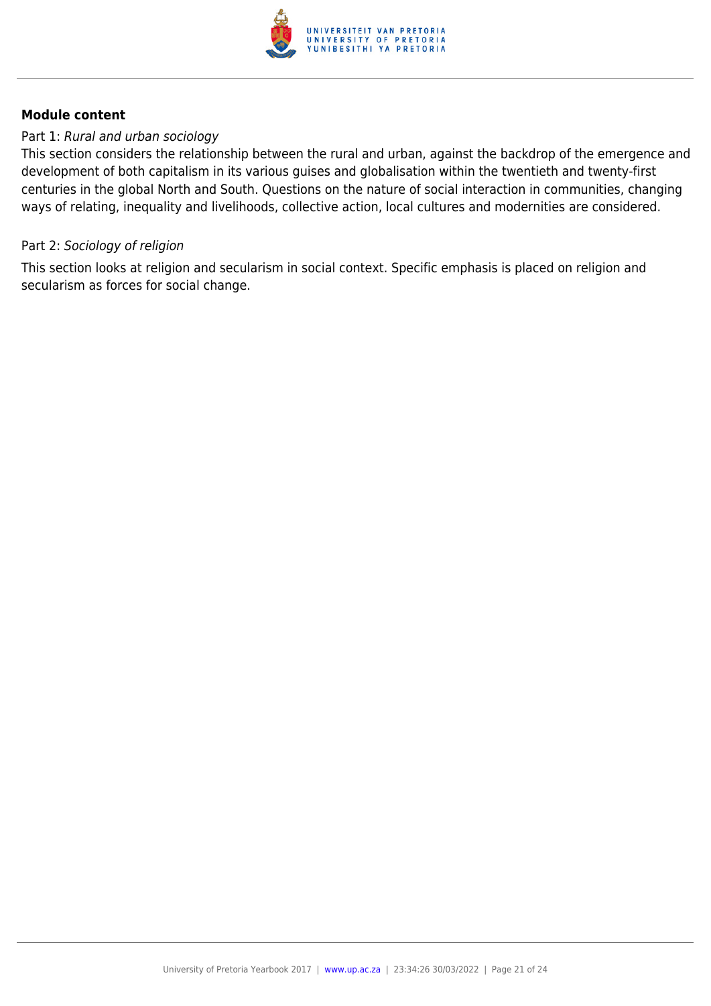

#### Part 1: Rural and urban sociology

This section considers the relationship between the rural and urban, against the backdrop of the emergence and development of both capitalism in its various guises and globalisation within the twentieth and twenty-first centuries in the global North and South. Questions on the nature of social interaction in communities, changing ways of relating, inequality and livelihoods, collective action, local cultures and modernities are considered.

#### Part 2: Sociology of religion

This section looks at religion and secularism in social context. Specific emphasis is placed on religion and secularism as forces for social change.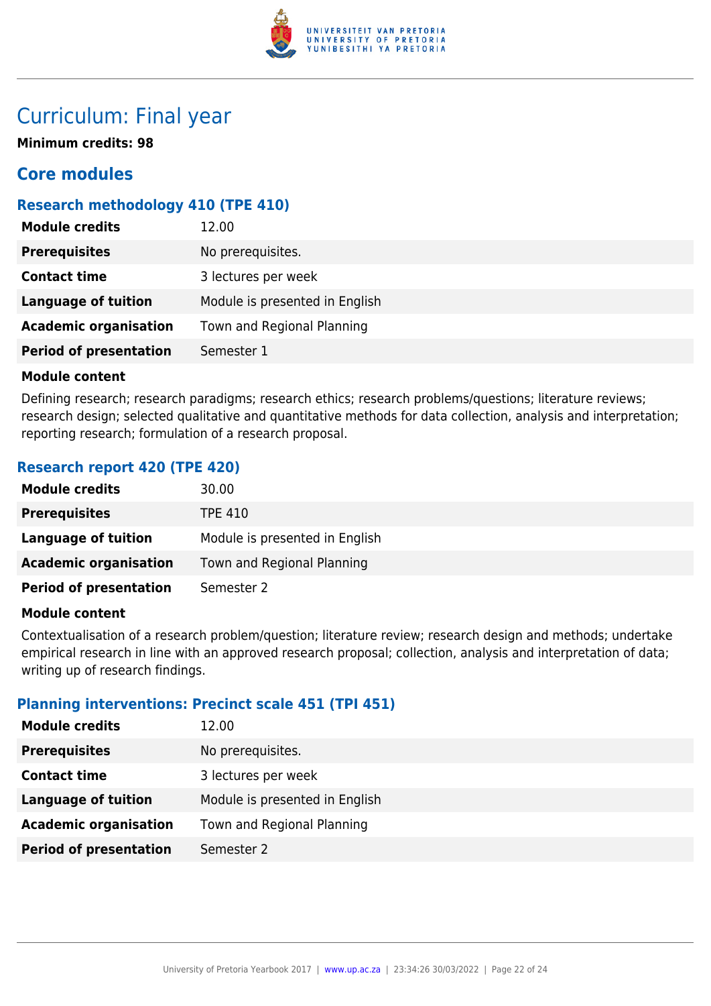

## Curriculum: Final year

**Minimum credits: 98**

## **Core modules**

## **Research methodology 410 (TPE 410)**

| <b>Module credits</b>         | 12.00                          |
|-------------------------------|--------------------------------|
| <b>Prerequisites</b>          | No prerequisites.              |
| <b>Contact time</b>           | 3 lectures per week            |
| <b>Language of tuition</b>    | Module is presented in English |
| <b>Academic organisation</b>  | Town and Regional Planning     |
| <b>Period of presentation</b> | Semester 1                     |
|                               |                                |

#### **Module content**

Defining research; research paradigms; research ethics; research problems/questions; literature reviews; research design; selected qualitative and quantitative methods for data collection, analysis and interpretation; reporting research; formulation of a research proposal.

## **Research report 420 (TPE 420)**

| <b>Module credits</b>         | 30.00                          |
|-------------------------------|--------------------------------|
| <b>Prerequisites</b>          | TPE 410                        |
| Language of tuition           | Module is presented in English |
| <b>Academic organisation</b>  | Town and Regional Planning     |
| <b>Period of presentation</b> | Semester 2                     |

#### **Module content**

Contextualisation of a research problem/question; literature review; research design and methods; undertake empirical research in line with an approved research proposal; collection, analysis and interpretation of data; writing up of research findings.

## **Planning interventions: Precinct scale 451 (TPI 451)**

| <b>Module credits</b>         | 12.00                          |
|-------------------------------|--------------------------------|
| <b>Prerequisites</b>          | No prerequisites.              |
| <b>Contact time</b>           | 3 lectures per week            |
| Language of tuition           | Module is presented in English |
| <b>Academic organisation</b>  | Town and Regional Planning     |
| <b>Period of presentation</b> | Semester 2                     |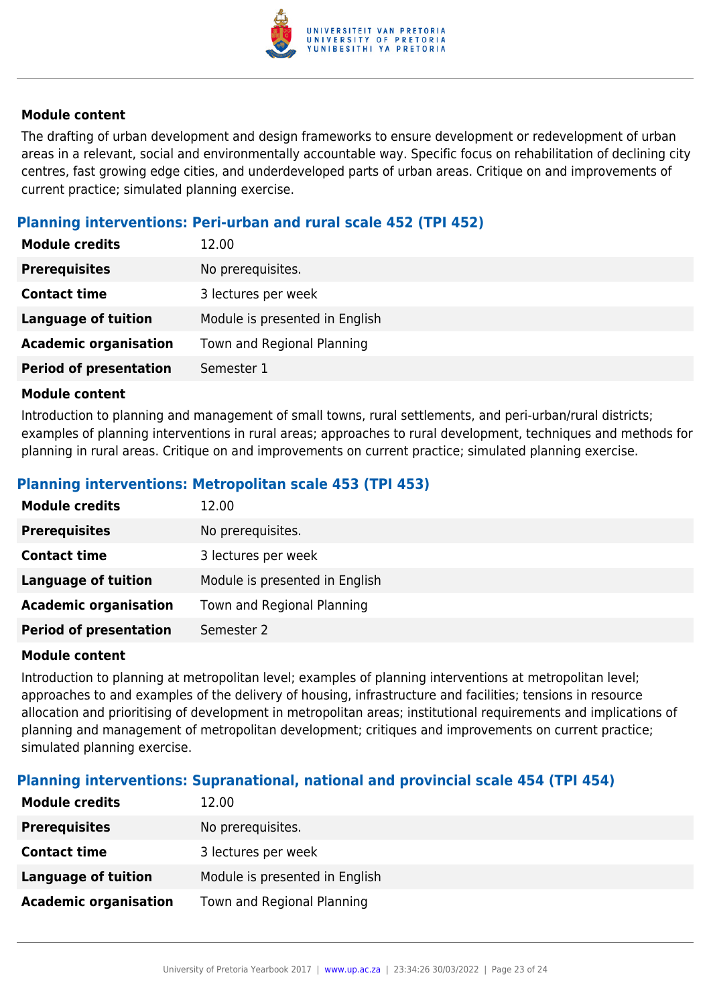

The drafting of urban development and design frameworks to ensure development or redevelopment of urban areas in a relevant, social and environmentally accountable way. Specific focus on rehabilitation of declining city centres, fast growing edge cities, and underdeveloped parts of urban areas. Critique on and improvements of current practice; simulated planning exercise.

## **Planning interventions: Peri-urban and rural scale 452 (TPI 452)**

| <b>Module credits</b>         | 12.00                          |
|-------------------------------|--------------------------------|
| <b>Prerequisites</b>          | No prerequisites.              |
| <b>Contact time</b>           | 3 lectures per week            |
| <b>Language of tuition</b>    | Module is presented in English |
| <b>Academic organisation</b>  | Town and Regional Planning     |
| <b>Period of presentation</b> | Semester 1                     |

#### **Module content**

Introduction to planning and management of small towns, rural settlements, and peri-urban/rural districts; examples of planning interventions in rural areas; approaches to rural development, techniques and methods for planning in rural areas. Critique on and improvements on current practice; simulated planning exercise.

## **Planning interventions: Metropolitan scale 453 (TPI 453)**

| <b>Module credits</b>         | 12.00                          |
|-------------------------------|--------------------------------|
| <b>Prerequisites</b>          | No prerequisites.              |
| <b>Contact time</b>           | 3 lectures per week            |
| Language of tuition           | Module is presented in English |
| <b>Academic organisation</b>  | Town and Regional Planning     |
| <b>Period of presentation</b> | Semester 2                     |

#### **Module content**

Introduction to planning at metropolitan level; examples of planning interventions at metropolitan level; approaches to and examples of the delivery of housing, infrastructure and facilities; tensions in resource allocation and prioritising of development in metropolitan areas; institutional requirements and implications of planning and management of metropolitan development; critiques and improvements on current practice; simulated planning exercise.

## **Planning interventions: Supranational, national and provincial scale 454 (TPI 454)**

| <b>Module credits</b>        | 12.00                          |
|------------------------------|--------------------------------|
| <b>Prerequisites</b>         | No prerequisites.              |
| <b>Contact time</b>          | 3 lectures per week            |
| <b>Language of tuition</b>   | Module is presented in English |
| <b>Academic organisation</b> | Town and Regional Planning     |